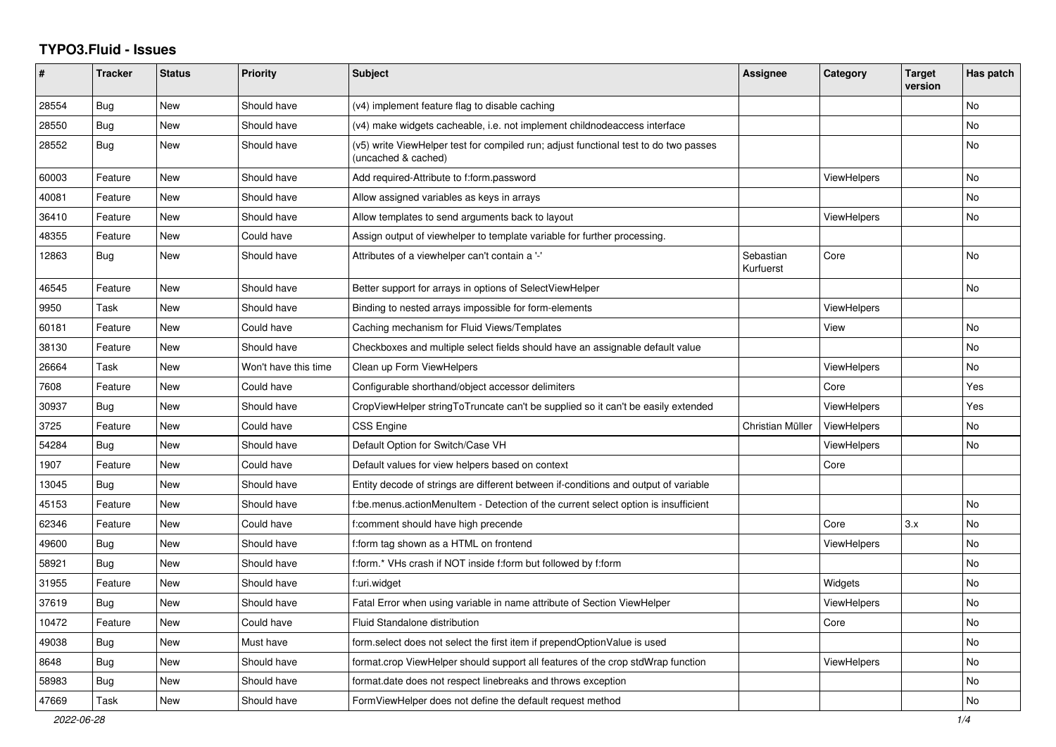## **TYPO3.Fluid - Issues**

| #     | <b>Tracker</b> | <b>Status</b> | <b>Priority</b>      | <b>Subject</b>                                                                                              | Assignee               | Category           | <b>Target</b><br>version | Has patch |
|-------|----------------|---------------|----------------------|-------------------------------------------------------------------------------------------------------------|------------------------|--------------------|--------------------------|-----------|
| 28554 | <b>Bug</b>     | New           | Should have          | (v4) implement feature flag to disable caching                                                              |                        |                    |                          | <b>No</b> |
| 28550 | <b>Bug</b>     | New           | Should have          | (v4) make widgets cacheable, i.e. not implement childnodeaccess interface                                   |                        |                    |                          | <b>No</b> |
| 28552 | Bug            | New           | Should have          | (v5) write ViewHelper test for compiled run; adjust functional test to do two passes<br>(uncached & cached) |                        |                    |                          | No        |
| 60003 | Feature        | New           | Should have          | Add required-Attribute to f:form.password                                                                   |                        | <b>ViewHelpers</b> |                          | <b>No</b> |
| 40081 | Feature        | New           | Should have          | Allow assigned variables as keys in arrays                                                                  |                        |                    |                          | No        |
| 36410 | Feature        | New           | Should have          | Allow templates to send arguments back to layout                                                            |                        | <b>ViewHelpers</b> |                          | <b>No</b> |
| 48355 | Feature        | New           | Could have           | Assign output of viewhelper to template variable for further processing.                                    |                        |                    |                          |           |
| 12863 | Bug            | New           | Should have          | Attributes of a viewhelper can't contain a '-'                                                              | Sebastian<br>Kurfuerst | Core               |                          | No        |
| 46545 | Feature        | New           | Should have          | Better support for arrays in options of SelectViewHelper                                                    |                        |                    |                          | No        |
| 9950  | Task           | New           | Should have          | Binding to nested arrays impossible for form-elements                                                       |                        | ViewHelpers        |                          |           |
| 60181 | Feature        | New           | Could have           | Caching mechanism for Fluid Views/Templates                                                                 |                        | View               |                          | No        |
| 38130 | Feature        | <b>New</b>    | Should have          | Checkboxes and multiple select fields should have an assignable default value                               |                        |                    |                          | <b>No</b> |
| 26664 | Task           | New           | Won't have this time | Clean up Form ViewHelpers                                                                                   |                        | ViewHelpers        |                          | <b>No</b> |
| 7608  | Feature        | New           | Could have           | Configurable shorthand/object accessor delimiters                                                           |                        | Core               |                          | Yes       |
| 30937 | Bug            | New           | Should have          | CropViewHelper stringToTruncate can't be supplied so it can't be easily extended                            |                        | <b>ViewHelpers</b> |                          | Yes       |
| 3725  | Feature        | New           | Could have           | <b>CSS Engine</b>                                                                                           | Christian Müller       | ViewHelpers        |                          | No        |
| 54284 | <b>Bug</b>     | New           | Should have          | Default Option for Switch/Case VH                                                                           |                        | <b>ViewHelpers</b> |                          | No        |
| 1907  | Feature        | New           | Could have           | Default values for view helpers based on context                                                            |                        | Core               |                          |           |
| 13045 | Bug            | <b>New</b>    | Should have          | Entity decode of strings are different between if-conditions and output of variable                         |                        |                    |                          |           |
| 45153 | Feature        | New           | Should have          | f:be.menus.actionMenuItem - Detection of the current select option is insufficient                          |                        |                    |                          | No        |
| 62346 | Feature        | <b>New</b>    | Could have           | f:comment should have high precende                                                                         |                        | Core               | 3.x                      | <b>No</b> |
| 49600 | Bug            | <b>New</b>    | Should have          | f:form tag shown as a HTML on frontend                                                                      |                        | ViewHelpers        |                          | <b>No</b> |
| 58921 | Bug            | New           | Should have          | f:form.* VHs crash if NOT inside f:form but followed by f:form                                              |                        |                    |                          | No        |
| 31955 | Feature        | New           | Should have          | f:uri.widget                                                                                                |                        | Widgets            |                          | No        |
| 37619 | <b>Bug</b>     | New           | Should have          | Fatal Error when using variable in name attribute of Section ViewHelper                                     |                        | <b>ViewHelpers</b> |                          | No        |
| 10472 | Feature        | New           | Could have           | Fluid Standalone distribution                                                                               |                        | Core               |                          | <b>No</b> |
| 49038 | Bug            | New           | Must have            | form select does not select the first item if prependOptionValue is used                                    |                        |                    |                          | No        |
| 8648  | Bug            | New           | Should have          | format.crop ViewHelper should support all features of the crop stdWrap function                             |                        | <b>ViewHelpers</b> |                          | No        |
| 58983 | Bug            | New           | Should have          | format.date does not respect linebreaks and throws exception                                                |                        |                    |                          | No        |
| 47669 | Task           | New           | Should have          | FormViewHelper does not define the default request method                                                   |                        |                    |                          | No        |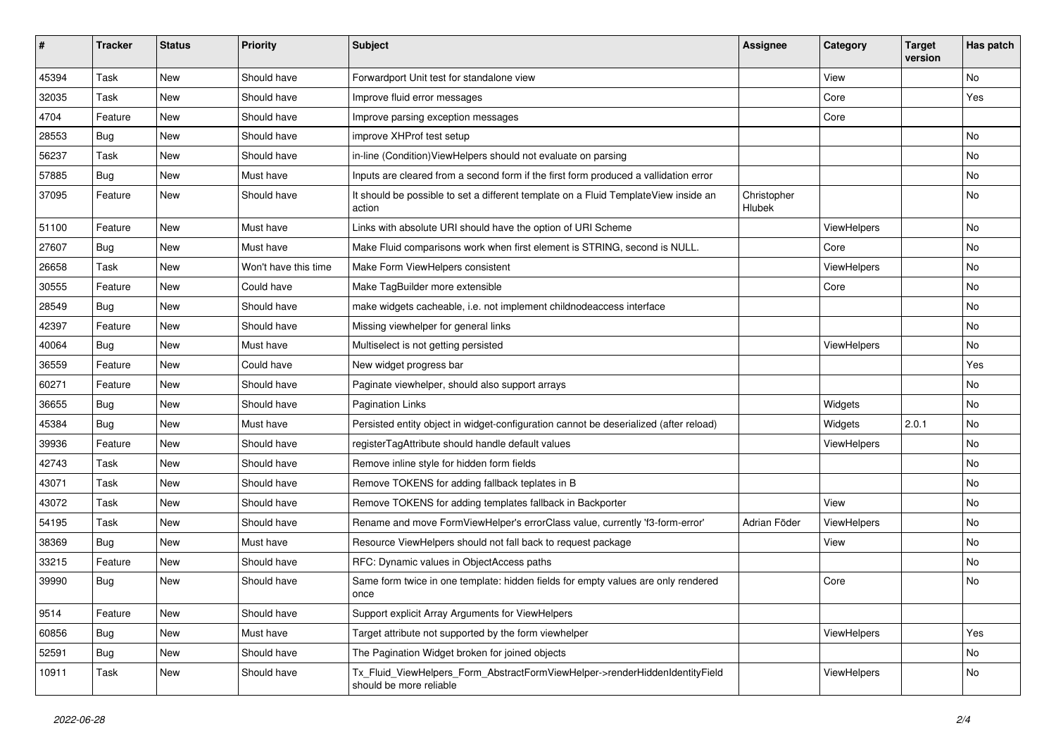| $\vert$ # | <b>Tracker</b> | <b>Status</b> | <b>Priority</b>      | <b>Subject</b>                                                                                         | <b>Assignee</b>       | Category    | <b>Target</b><br>version | Has patch |
|-----------|----------------|---------------|----------------------|--------------------------------------------------------------------------------------------------------|-----------------------|-------------|--------------------------|-----------|
| 45394     | Task           | New           | Should have          | Forwardport Unit test for standalone view                                                              |                       | View        |                          | <b>No</b> |
| 32035     | Task           | New           | Should have          | Improve fluid error messages                                                                           |                       | Core        |                          | Yes       |
| 4704      | Feature        | New           | Should have          | Improve parsing exception messages                                                                     |                       | Core        |                          |           |
| 28553     | Bug            | New           | Should have          | improve XHProf test setup                                                                              |                       |             |                          | No        |
| 56237     | Task           | New           | Should have          | in-line (Condition) View Helpers should not evaluate on parsing                                        |                       |             |                          | No        |
| 57885     | Bug            | New           | Must have            | Inputs are cleared from a second form if the first form produced a vallidation error                   |                       |             |                          | No        |
| 37095     | Feature        | New           | Should have          | It should be possible to set a different template on a Fluid TemplateView inside an<br>action          | Christopher<br>Hlubek |             |                          | No        |
| 51100     | Feature        | New           | Must have            | Links with absolute URI should have the option of URI Scheme                                           |                       | ViewHelpers |                          | No        |
| 27607     | Bug            | New           | Must have            | Make Fluid comparisons work when first element is STRING, second is NULL.                              |                       | Core        |                          | No        |
| 26658     | Task           | <b>New</b>    | Won't have this time | Make Form ViewHelpers consistent                                                                       |                       | ViewHelpers |                          | No        |
| 30555     | Feature        | New           | Could have           | Make TagBuilder more extensible                                                                        |                       | Core        |                          | No        |
| 28549     | Bug            | New           | Should have          | make widgets cacheable, i.e. not implement childnodeaccess interface                                   |                       |             |                          | No        |
| 42397     | Feature        | New           | Should have          | Missing viewhelper for general links                                                                   |                       |             |                          | No        |
| 40064     | Bug            | New           | Must have            | Multiselect is not getting persisted                                                                   |                       | ViewHelpers |                          | No        |
| 36559     | Feature        | New           | Could have           | New widget progress bar                                                                                |                       |             |                          | Yes       |
| 60271     | Feature        | New           | Should have          | Paginate viewhelper, should also support arrays                                                        |                       |             |                          | No        |
| 36655     | Bug            | New           | Should have          | <b>Pagination Links</b>                                                                                |                       | Widgets     |                          | No        |
| 45384     | Bug            | New           | Must have            | Persisted entity object in widget-configuration cannot be deserialized (after reload)                  |                       | Widgets     | 2.0.1                    | No        |
| 39936     | Feature        | New           | Should have          | registerTagAttribute should handle default values                                                      |                       | ViewHelpers |                          | No        |
| 42743     | Task           | New           | Should have          | Remove inline style for hidden form fields                                                             |                       |             |                          | No        |
| 43071     | Task           | New           | Should have          | Remove TOKENS for adding fallback teplates in B                                                        |                       |             |                          | No        |
| 43072     | Task           | New           | Should have          | Remove TOKENS for adding templates fallback in Backporter                                              |                       | View        |                          | No        |
| 54195     | Task           | <b>New</b>    | Should have          | Rename and move FormViewHelper's errorClass value, currently 'f3-form-error'                           | Adrian Föder          | ViewHelpers |                          | No        |
| 38369     | Bug            | New           | Must have            | Resource ViewHelpers should not fall back to request package                                           |                       | View        |                          | No        |
| 33215     | Feature        | New           | Should have          | RFC: Dynamic values in ObjectAccess paths                                                              |                       |             |                          | No        |
| 39990     | Bug            | New           | Should have          | Same form twice in one template: hidden fields for empty values are only rendered<br>once              |                       | Core        |                          | No        |
| 9514      | Feature        | New           | Should have          | Support explicit Array Arguments for ViewHelpers                                                       |                       |             |                          |           |
| 60856     | Bug            | New           | Must have            | Target attribute not supported by the form viewhelper                                                  |                       | ViewHelpers |                          | Yes       |
| 52591     | <b>Bug</b>     | New           | Should have          | The Pagination Widget broken for joined objects                                                        |                       |             |                          | No        |
| 10911     | Task           | New           | Should have          | Tx_Fluid_ViewHelpers_Form_AbstractFormViewHelper->renderHiddenIdentityField<br>should be more reliable |                       | ViewHelpers |                          | No        |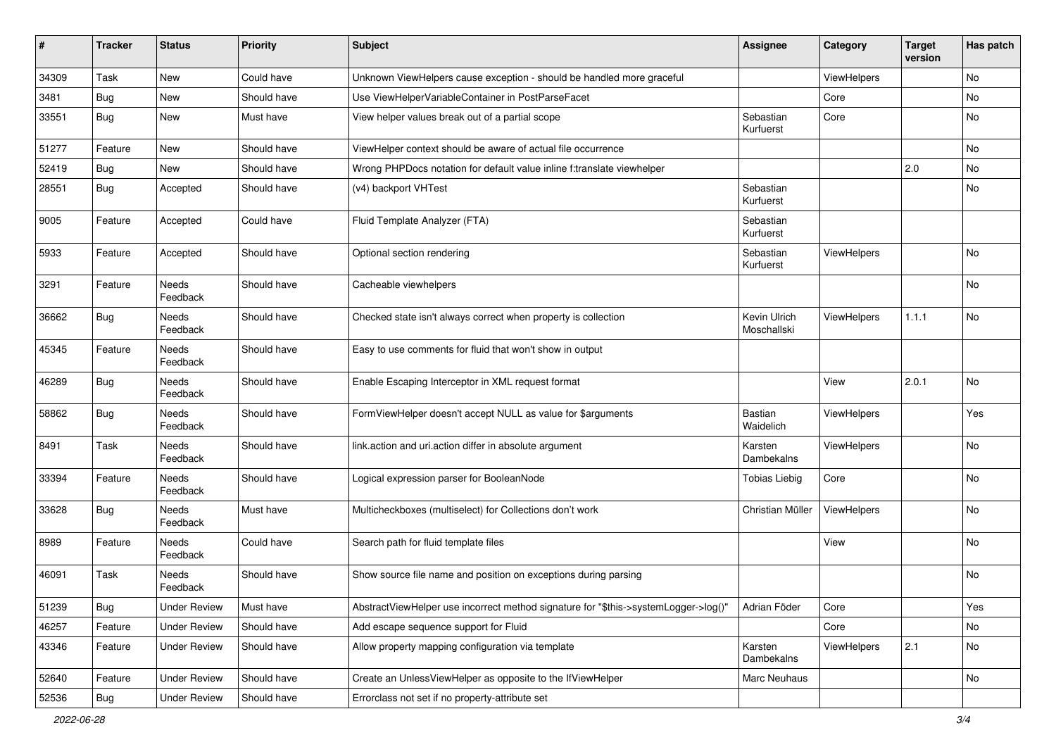| $\pmb{\sharp}$ | Tracker    | <b>Status</b>            | <b>Priority</b> | <b>Subject</b>                                                                      | <b>Assignee</b>             | Category    | <b>Target</b><br>version | Has patch |
|----------------|------------|--------------------------|-----------------|-------------------------------------------------------------------------------------|-----------------------------|-------------|--------------------------|-----------|
| 34309          | Task       | New                      | Could have      | Unknown ViewHelpers cause exception - should be handled more graceful               |                             | ViewHelpers |                          | No        |
| 3481           | Bug        | New                      | Should have     | Use ViewHelperVariableContainer in PostParseFacet                                   |                             | Core        |                          | No        |
| 33551          | Bug        | New                      | Must have       | View helper values break out of a partial scope                                     | Sebastian<br>Kurfuerst      | Core        |                          | No        |
| 51277          | Feature    | <b>New</b>               | Should have     | ViewHelper context should be aware of actual file occurrence                        |                             |             |                          | <b>No</b> |
| 52419          | Bug        | New                      | Should have     | Wrong PHPDocs notation for default value inline f:translate viewhelper              |                             |             | 2.0                      | <b>No</b> |
| 28551          | Bug        | Accepted                 | Should have     | (v4) backport VHTest                                                                | Sebastian<br>Kurfuerst      |             |                          | No        |
| 9005           | Feature    | Accepted                 | Could have      | Fluid Template Analyzer (FTA)                                                       | Sebastian<br>Kurfuerst      |             |                          |           |
| 5933           | Feature    | Accepted                 | Should have     | Optional section rendering                                                          | Sebastian<br>Kurfuerst      | ViewHelpers |                          | <b>No</b> |
| 3291           | Feature    | Needs<br>Feedback        | Should have     | Cacheable viewhelpers                                                               |                             |             |                          | No        |
| 36662          | Bug        | <b>Needs</b><br>Feedback | Should have     | Checked state isn't always correct when property is collection                      | Kevin Ulrich<br>Moschallski | ViewHelpers | 1.1.1                    | <b>No</b> |
| 45345          | Feature    | <b>Needs</b><br>Feedback | Should have     | Easy to use comments for fluid that won't show in output                            |                             |             |                          |           |
| 46289          | Bug        | Needs<br>Feedback        | Should have     | Enable Escaping Interceptor in XML request format                                   |                             | View        | 2.0.1                    | No        |
| 58862          | Bug        | Needs<br>Feedback        | Should have     | FormViewHelper doesn't accept NULL as value for \$arguments                         | Bastian<br>Waidelich        | ViewHelpers |                          | Yes       |
| 8491           | Task       | Needs<br>Feedback        | Should have     | link.action and uri.action differ in absolute argument                              | Karsten<br>Dambekalns       | ViewHelpers |                          | No        |
| 33394          | Feature    | Needs<br>Feedback        | Should have     | Logical expression parser for BooleanNode                                           | <b>Tobias Liebig</b>        | Core        |                          | No        |
| 33628          | Bug        | <b>Needs</b><br>Feedback | Must have       | Multicheckboxes (multiselect) for Collections don't work                            | Christian Müller            | ViewHelpers |                          | No        |
| 8989           | Feature    | <b>Needs</b><br>Feedback | Could have      | Search path for fluid template files                                                |                             | View        |                          | No        |
| 46091          | Task       | <b>Needs</b><br>Feedback | Should have     | Show source file name and position on exceptions during parsing                     |                             |             |                          | No        |
| 51239          | Bug        | <b>Under Review</b>      | Must have       | AbstractViewHelper use incorrect method signature for "\$this->systemLogger->log()" | Adrian Föder                | Core        |                          | Yes       |
| 46257          | Feature    | <b>Under Review</b>      | Should have     | Add escape sequence support for Fluid                                               |                             | Core        |                          | No        |
| 43346          | Feature    | <b>Under Review</b>      | Should have     | Allow property mapping configuration via template                                   | Karsten<br>Dambekalns       | ViewHelpers | 2.1                      | No        |
| 52640          | Feature    | <b>Under Review</b>      | Should have     | Create an UnlessViewHelper as opposite to the IfViewHelper                          | Marc Neuhaus                |             |                          | No        |
| 52536          | <b>Bug</b> | <b>Under Review</b>      | Should have     | Errorclass not set if no property-attribute set                                     |                             |             |                          |           |